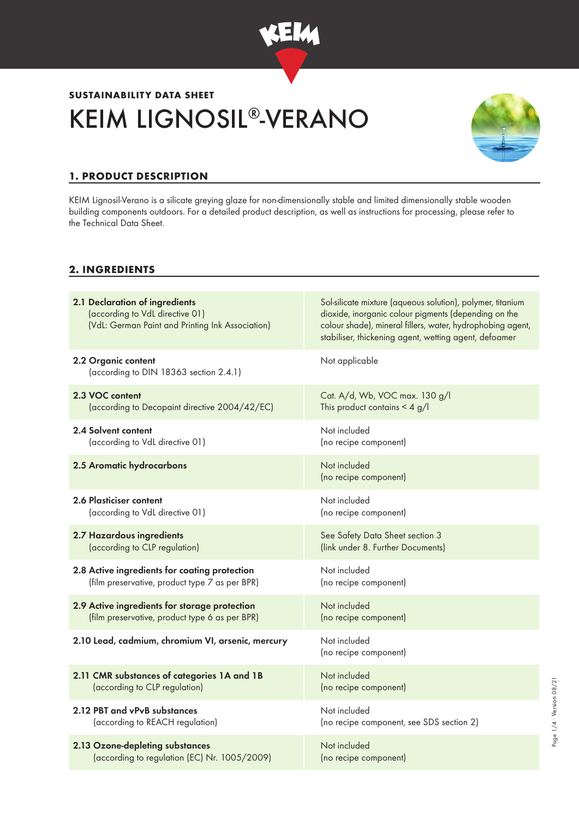

# KEIM LIGNOSIL®-VERANO **SUSTAINABILITY DATA SHEET**



# **1. PRODUCT DESCRIPTION**

KEIM Lignosil-Verano is a silicate greying glaze for non-dimensionally stable and limited dimensionally stable wooden building components outdoors. For a detailed product description, as well as instructions for processing, please refer to the Technical Data Sheet.

## **2. INGREDIENTS**

| 2.1 Declaration of ingredients<br>(according to VdL directive 01)<br>(VdL: German Paint and Printing Ink Association) | Sol-silicate mixture (aqueous solution), polymer, titanium<br>dioxide, inorganic colour pigments (depending on the<br>colour shade), mineral fillers, water, hydrophobing agent,<br>stabiliser, thickening agent, wetting agent, defoamer |
|-----------------------------------------------------------------------------------------------------------------------|-------------------------------------------------------------------------------------------------------------------------------------------------------------------------------------------------------------------------------------------|
| 2.2 Organic content<br>(according to DIN 18363 section 2.4.1)                                                         | Not applicable                                                                                                                                                                                                                            |
| 2.3 VOC content                                                                                                       | Cat. A/d, Wb, VOC max. 130 g/l                                                                                                                                                                                                            |
| (according to Decopaint directive 2004/42/EC)                                                                         | This product contains $\leq 4$ g/l                                                                                                                                                                                                        |
| 2.4 Solvent content                                                                                                   | Not included                                                                                                                                                                                                                              |
| (according to VdL directive 01)                                                                                       | (no recipe component)                                                                                                                                                                                                                     |
| 2.5 Aromatic hydrocarbons                                                                                             | Not included<br>(no recipe component)                                                                                                                                                                                                     |
| 2.6 Plasticiser content                                                                                               | Not included                                                                                                                                                                                                                              |
| (according to VdL directive 01)                                                                                       | (no recipe component)                                                                                                                                                                                                                     |
| 2.7 Hazardous ingredients                                                                                             | See Safety Data Sheet section 3                                                                                                                                                                                                           |
| (according to CLP regulation)                                                                                         | (link under 8. Further Documents)                                                                                                                                                                                                         |
| 2.8 Active ingredients for coating protection                                                                         | Not included                                                                                                                                                                                                                              |
| (film preservative, product type 7 as per BPR)                                                                        | (no recipe component)                                                                                                                                                                                                                     |
| 2.9 Active ingredients for storage protection                                                                         | Not included                                                                                                                                                                                                                              |
| (film preservative, product type 6 as per BPR)                                                                        | (no recipe component)                                                                                                                                                                                                                     |
| 2.10 Lead, cadmium, chromium VI, arsenic, mercury                                                                     | Not included<br>(no recipe component)                                                                                                                                                                                                     |
| 2.11 CMR substances of categories 1A and 1B                                                                           | Not included                                                                                                                                                                                                                              |
| (according to CLP regulation)                                                                                         | (no recipe component)                                                                                                                                                                                                                     |
| 2.12 PBT and vPvB substances                                                                                          | Not included                                                                                                                                                                                                                              |
| (according to REACH regulation)                                                                                       | (no recipe component, see SDS section 2)                                                                                                                                                                                                  |
| 2.13 Ozone-depleting substances                                                                                       | Not included                                                                                                                                                                                                                              |
| (according to regulation (EC) Nr. 1005/2009)                                                                          | (no recipe component)                                                                                                                                                                                                                     |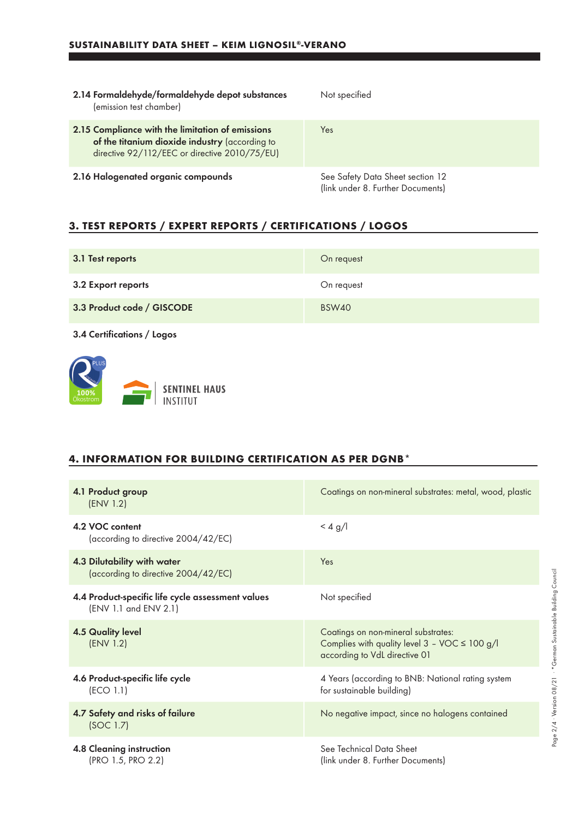| 2.14 Formaldehyde/formaldehyde depot substances<br>(emission test chamber)                                                                          | Not specified                                                         |
|-----------------------------------------------------------------------------------------------------------------------------------------------------|-----------------------------------------------------------------------|
| 2.15 Compliance with the limitation of emissions<br>of the titanium dioxide industry (according to<br>directive 92/112/EEC or directive 2010/75/EU) | <b>Yes</b>                                                            |
| 2.16 Halogenated organic compounds                                                                                                                  | See Safety Data Sheet section 12<br>(link under 8. Further Documents) |

## **3. TEST REPORTS / EXPERT REPORTS / CERTIFICATIONS / LOGOS**

| 3.1 Test reports           | On request |
|----------------------------|------------|
| 3.2 Export reports         | On request |
| 3.3 Product code / GISCODE | BSW40      |

3.4 Certifications / Logos



## **4. INFORMATION FOR BUILDING CERTIFICATION AS PER DGNB\***

| 4.1 Product group<br>(ENV 1.2)                                             | Coatings on non-mineral substrates: metal, wood, plastic                                                                                 |
|----------------------------------------------------------------------------|------------------------------------------------------------------------------------------------------------------------------------------|
| 4.2 VOC content<br>(according to directive 2004/42/EC)                     | $<$ 4 g/l                                                                                                                                |
| 4.3 Dilutability with water<br>(according to directive 2004/42/EC)         | Yes                                                                                                                                      |
| 4.4 Product-specific life cycle assessment values<br>(ENV 1.1 and ENV 2.1) | Not specified                                                                                                                            |
| <b>4.5 Quality level</b><br>(ENV 1.2)                                      | Coatings on non-mineral substrates:<br>Complies with quality level $3 - \sqrt{OC} \leq 100 \frac{g}{l}$<br>according to VdL directive 01 |
| 4.6 Product-specific life cycle<br>(ECO 1.1)                               | 4 Years (according to BNB: National rating system<br>for sustainable building)                                                           |
| 4.7 Safety and risks of failure<br>(SOC 1.7)                               | No negative impact, since no halogens contained                                                                                          |
| <b>4.8 Cleaning instruction</b><br>(PRO 1.5, PRO 2.2)                      | See Technical Data Sheet<br>(link under 8. Further Documents)                                                                            |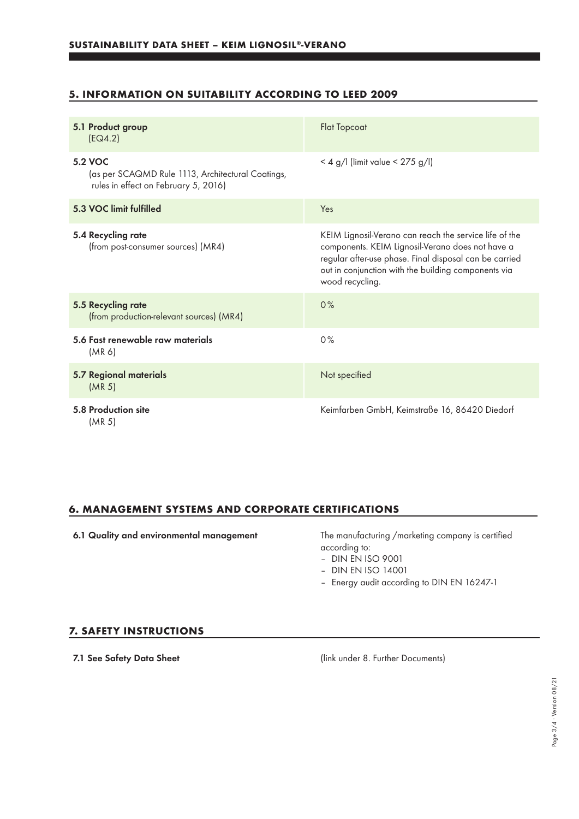## **5. INFORMATION ON SUITABILITY ACCORDING TO LEED 2009**

| 5.1 Product group<br>[EQ4.2]                                                                                | <b>Flat Topcoat</b>                                                                                                                                                                                                                            |
|-------------------------------------------------------------------------------------------------------------|------------------------------------------------------------------------------------------------------------------------------------------------------------------------------------------------------------------------------------------------|
| <b>5.2 VOC</b><br>(as per SCAQMD Rule 1113, Architectural Coatings,<br>rules in effect on February 5, 2016) | < 4 g/l (limit value < $275$ g/l)                                                                                                                                                                                                              |
| 5.3 VOC limit fulfilled                                                                                     | Yes                                                                                                                                                                                                                                            |
| 5.4 Recycling rate<br>(from post-consumer sources) (MR4)                                                    | KEIM Lignosil-Verano can reach the service life of the<br>components. KEIM Lignosil-Verano does not have a<br>regular after-use phase. Final disposal can be carried<br>out in conjunction with the building components via<br>wood recycling. |
| 5.5 Recycling rate<br>(from production-relevant sources) (MR4)                                              | 0%                                                                                                                                                                                                                                             |
| 5.6 Fast renewable raw materials<br>(MR 6)                                                                  | 0%                                                                                                                                                                                                                                             |
| 5.7 Regional materials<br>(MR <sub>5</sub> )                                                                | Not specified                                                                                                                                                                                                                                  |
| 5.8 Production site<br>(MR <sub>5</sub> )                                                                   | Keimfarben GmbH, Keimstraße 16, 86420 Diedorf                                                                                                                                                                                                  |

## **6. MANAGEMENT SYSTEMS AND CORPORATE CERTIFICATIONS**

6.1 Quality and environmental management The manufacturing /marketing company is certified according to:

– DIN EN ISO 9001

- DIN EN ISO 14001
- Energy audit according to DIN EN 16247-1

#### **7. SAFETY INSTRUCTIONS**

7.1 See Safety Data Sheet (link under 8. Further Documents)